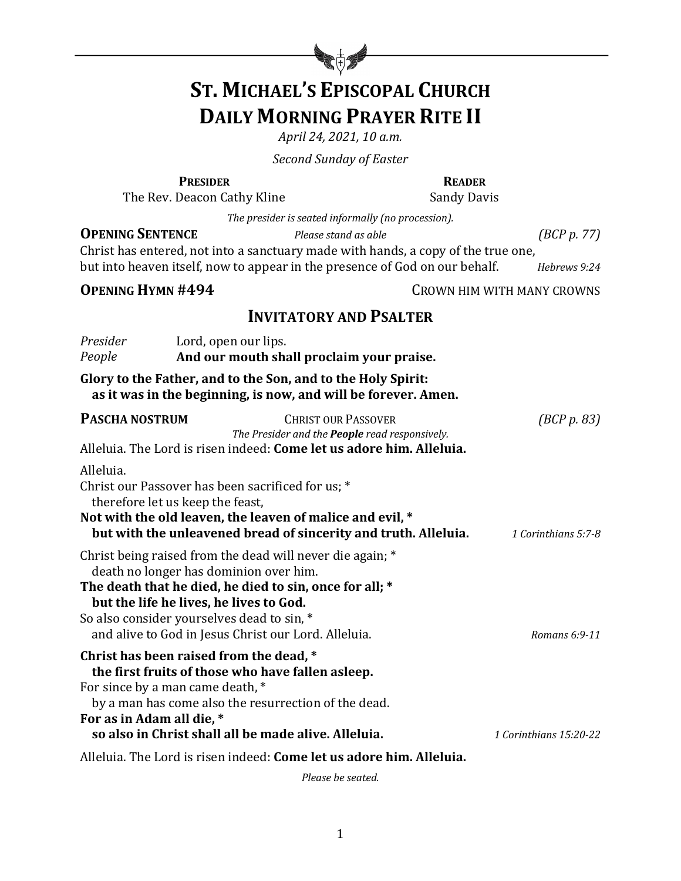

# **ST. MICHAEL'S EPISCOPAL CHURCH DAILY MORNING PRAYER RITE II**

*April 24, 2021, 10 a.m.*

*Second Sunday of Easter*

#### **PRESIDER READER**

The Rev. Deacon Cathy Kline Sandy Davis

The presider is seated informally (no procession).

# **OPENING SENTENCE** *Please stand as able (BCP p. 77)*

Christ has entered, not into a sanctuary made with hands, a copy of the true one,

but into heaven itself, now to appear in the presence of God on our behalf. *Hebrews 9:24* 

**OPENING HYMN #494** CROWN HIM WITH MANY CROWNS

# **INVITATORY AND PSALTER**

| Presider                  | Lord, open our lips.                                                                                                                                                                                                                                                                                            |                        |
|---------------------------|-----------------------------------------------------------------------------------------------------------------------------------------------------------------------------------------------------------------------------------------------------------------------------------------------------------------|------------------------|
| People                    | And our mouth shall proclaim your praise.                                                                                                                                                                                                                                                                       |                        |
|                           | Glory to the Father, and to the Son, and to the Holy Spirit:<br>as it was in the beginning, is now, and will be forever. Amen.                                                                                                                                                                                  |                        |
| <b>PASCHA NOSTRUM</b>     | <b>CHRIST OUR PASSOVER</b><br>The Presider and the People read responsively.<br>Alleluia. The Lord is risen indeed: Come let us adore him. Alleluia.                                                                                                                                                            | (BCP p. 83)            |
| Alleluia.                 | Christ our Passover has been sacrificed for us; *<br>therefore let us keep the feast,<br>Not with the old leaven, the leaven of malice and evil, *<br>but with the unleavened bread of sincerity and truth. Alleluia.                                                                                           | 1 Corinthians 5:7-8    |
|                           | Christ being raised from the dead will never die again; *<br>death no longer has dominion over him.<br>The death that he died, he died to sin, once for all; *<br>but the life he lives, he lives to God.<br>So also consider yourselves dead to sin, *<br>and alive to God in Jesus Christ our Lord. Alleluia. | Romans 6:9-11          |
| For as in Adam all die, * | Christ has been raised from the dead, *<br>the first fruits of those who have fallen asleep.<br>For since by a man came death, *<br>by a man has come also the resurrection of the dead.                                                                                                                        |                        |
|                           | so also in Christ shall all be made alive. Alleluia.                                                                                                                                                                                                                                                            | 1 Corinthians 15:20-22 |
|                           | Alleluia. The Lord is risen indeed: Come let us adore him. Alleluia.                                                                                                                                                                                                                                            |                        |

*Please be seated.*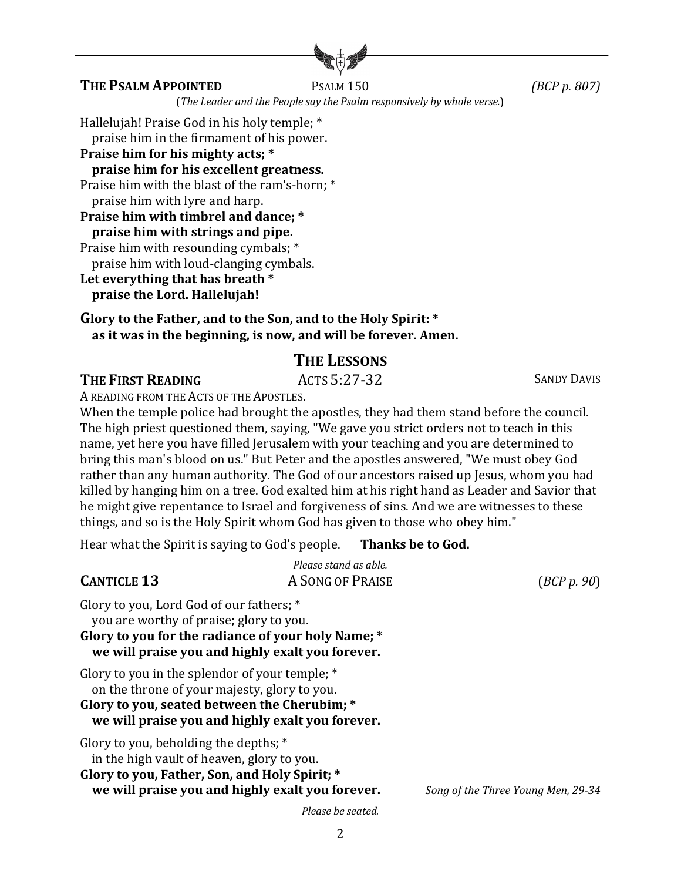### **THE PSALM APPOINTED** PSALM 150 *(BCP p. 807)*

(The Leader and the People say the Psalm responsively by whole verse.)

Hallelujah! Praise God in his holy temple; \*

praise him in the firmament of his power.

**Praise him for his mighty acts; \*** 

**praise him for his excellent greatness.** 

Praise him with the blast of the ram's-horn; \* praise him with lyre and harp.

**Praise him with timbrel and dance:** \* **praise him with strings and pipe.** Praise him with resounding cymbals; \*

praise him with loud-clanging cymbals.

Let everything that has breath \*  **praise the Lord. Hallelujah!**

#### **Glory to the Father, and to the Son, and to the Holy Spirit:** \* as it was in the beginning, is now, and will be forever. Amen.

# **THE LESSONS**

### **THE FIRST READING ACTS** 5:27-32 **SANDY DAVIS**

A READING FROM THE ACTS OF THE APOSTLES.

When the temple police had brought the apostles, they had them stand before the council. The high priest questioned them, saying, "We gave you strict orders not to teach in this name, yet here you have filled Jerusalem with your teaching and you are determined to bring this man's blood on us." But Peter and the apostles answered, "We must obey God rather than any human authority. The God of our ancestors raised up Jesus, whom you had killed by hanging him on a tree. God exalted him at his right hand as Leader and Savior that he might give repentance to Israel and forgiveness of sins. And we are witnesses to these things, and so is the Holy Spirit whom God has given to those who obey him."

Hear what the Spirit is saying to God's people. **Thanks be to God.** 

*Please stand as able.* **CANTICLE 13** A SONG OF PRAISE (*BCP p.* 90) Glory to you, Lord God of our fathers: \* you are worthy of praise; glory to you. Glory to you for the radiance of your holy Name; \* **we will praise you and highly exalt you forever.** Glory to you in the splendor of your temple;  $*$ on the throne of your majesty, glory to you. Glory to you, seated between the Cherubim; \* **we will praise you and highly exalt you forever.** Glory to you, beholding the depths;  $*$ in the high vault of heaven, glory to you. Glory to you, Father, Son, and Holy Spirit; \* **we will praise you and highly exalt you forever.** *Song of the Three Young Men, 29-34 Please be seated.*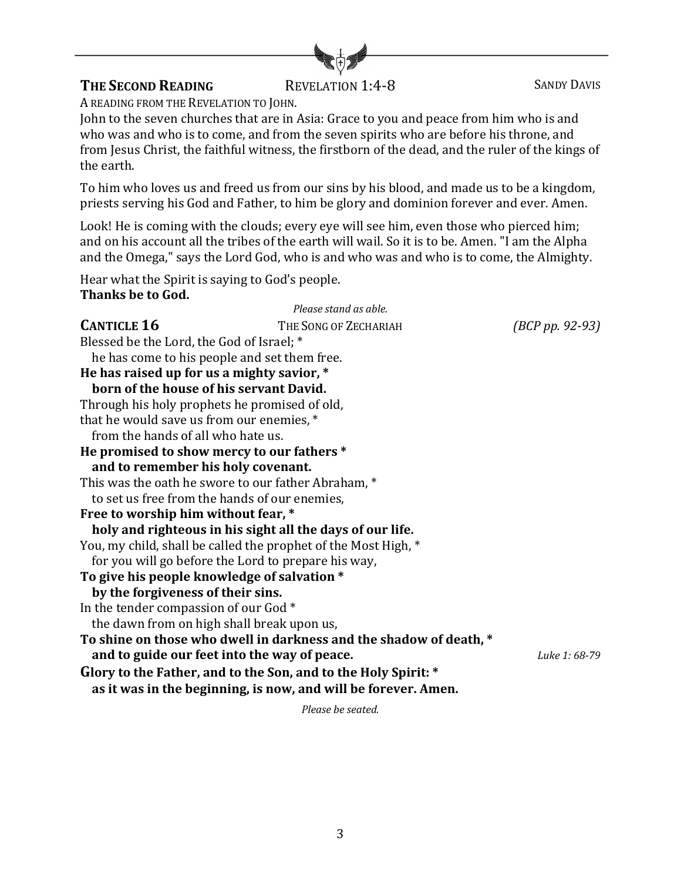### **THE SECOND READING** REVELATION 1:4-8 SANDY DAVIS



A READING FROM THE REVELATION TO JOHN.

John to the seven churches that are in Asia: Grace to you and peace from him who is and who was and who is to come, and from the seven spirits who are before his throne, and from Jesus Christ, the faithful witness, the firstborn of the dead, and the ruler of the kings of the earth.

To him who loves us and freed us from our sins by his blood, and made us to be a kingdom, priests serving his God and Father, to him be glory and dominion forever and ever. Amen.

Look! He is coming with the clouds; every eye will see him, even those who pierced him; and on his account all the tribes of the earth will wail. So it is to be. Amen. "I am the Alpha and the Omega," says the Lord God, who is and who was and who is to come, the Almighty.

Hear what the Spirit is saying to God's people. **Thanks be to God.** 

|                                                                | Please stand as able.                                              |                   |  |
|----------------------------------------------------------------|--------------------------------------------------------------------|-------------------|--|
| <b>CANTICLE 16</b>                                             | THE SONG OF ZECHARIAH                                              | $(BCP pp. 92-93)$ |  |
| Blessed be the Lord, the God of Israel; *                      |                                                                    |                   |  |
| he has come to his people and set them free.                   |                                                                    |                   |  |
| He has raised up for us a mighty savior, *                     |                                                                    |                   |  |
| born of the house of his servant David.                        |                                                                    |                   |  |
| Through his holy prophets he promised of old,                  |                                                                    |                   |  |
| that he would save us from our enemies, *                      |                                                                    |                   |  |
| from the hands of all who hate us.                             |                                                                    |                   |  |
| He promised to show mercy to our fathers *                     |                                                                    |                   |  |
| and to remember his holy covenant.                             |                                                                    |                   |  |
| This was the oath he swore to our father Abraham, *            |                                                                    |                   |  |
| to set us free from the hands of our enemies,                  |                                                                    |                   |  |
| Free to worship him without fear, *                            |                                                                    |                   |  |
|                                                                | holy and righteous in his sight all the days of our life.          |                   |  |
|                                                                | You, my child, shall be called the prophet of the Most High, *     |                   |  |
|                                                                | for you will go before the Lord to prepare his way,                |                   |  |
| To give his people knowledge of salvation *                    |                                                                    |                   |  |
| by the forgiveness of their sins.                              |                                                                    |                   |  |
| In the tender compassion of our God *                          |                                                                    |                   |  |
| the dawn from on high shall break upon us,                     |                                                                    |                   |  |
|                                                                | To shine on those who dwell in darkness and the shadow of death, * |                   |  |
| and to guide our feet into the way of peace.                   | Luke 1: 68-79                                                      |                   |  |
| Glory to the Father, and to the Son, and to the Holy Spirit: * |                                                                    |                   |  |
|                                                                | as it was in the beginning, is now, and will be forever. Amen.     |                   |  |

*Please be seated.*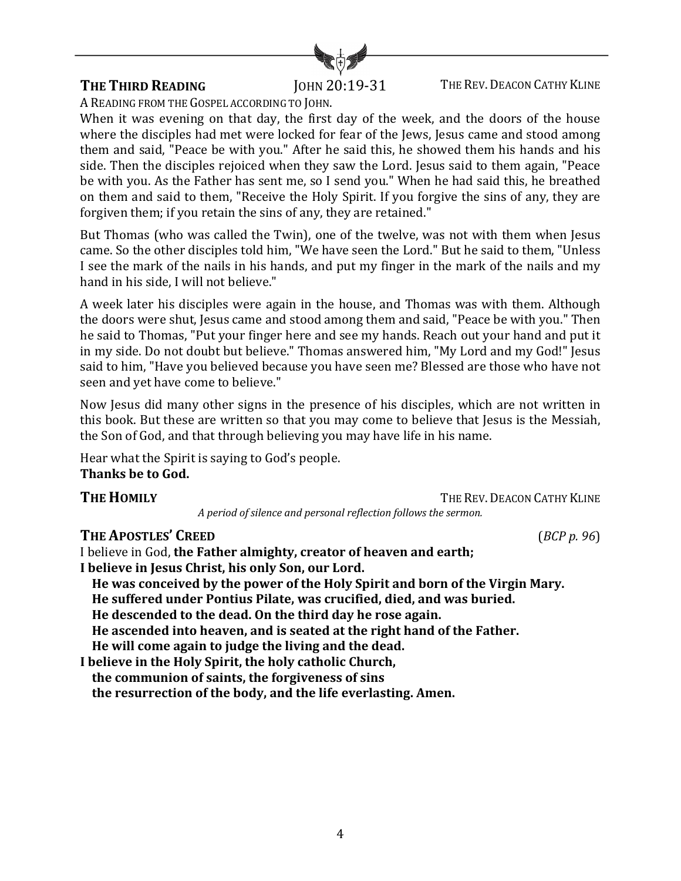

#### **THE THIRD READING** JOHN 20:19-31 THE REV. DEACON CATHY KLINE

A READING FROM THE GOSPEL ACCORDING TO JOHN.

When it was evening on that day, the first day of the week, and the doors of the house where the disciples had met were locked for fear of the Jews, Jesus came and stood among them and said, "Peace be with you." After he said this, he showed them his hands and his side. Then the disciples rejoiced when they saw the Lord. Jesus said to them again, "Peace be with you. As the Father has sent me, so I send you." When he had said this, he breathed on them and said to them, "Receive the Holy Spirit. If you forgive the sins of any, they are forgiven them; if you retain the sins of any, they are retained."

But Thomas (who was called the Twin), one of the twelve, was not with them when Jesus came. So the other disciples told him, "We have seen the Lord." But he said to them, "Unless I see the mark of the nails in his hands, and put my finger in the mark of the nails and my hand in his side, I will not believe."

A week later his disciples were again in the house, and Thomas was with them. Although the doors were shut, Jesus came and stood among them and said, "Peace be with you." Then he said to Thomas, "Put your finger here and see my hands. Reach out your hand and put it in my side. Do not doubt but believe." Thomas answered him, "My Lord and my God!" Jesus said to him, "Have you believed because you have seen me? Blessed are those who have not seen and yet have come to believe."

Now Jesus did many other signs in the presence of his disciples, which are not written in this book. But these are written so that you may come to believe that Jesus is the Messiah, the Son of God, and that through believing you may have life in his name.

Hear what the Spirit is saying to God's people. Thanks be to God.

**THE HOMILY** THE REV. DEACON CATHY KLINE

*A period of silence and personal reflection follows the sermon.*

### **THE APOSTLES' CREED** (*BCP p.* 96)

I believe in God, the Father almighty, creator of heaven and earth; I believe in Jesus Christ, his only Son, our Lord. He was conceived by the power of the Holy Spirit and born of the Virgin Mary. He suffered under Pontius Pilate, was crucified, died, and was buried. He descended to the dead. On the third day he rose again. He ascended into heaven, and is seated at the right hand of the Father. He will come again to judge the living and the dead. I believe in the Holy Spirit, the holy catholic Church, **the communion of saints, the forgiveness of sins** the resurrection of the body, and the life everlasting. Amen.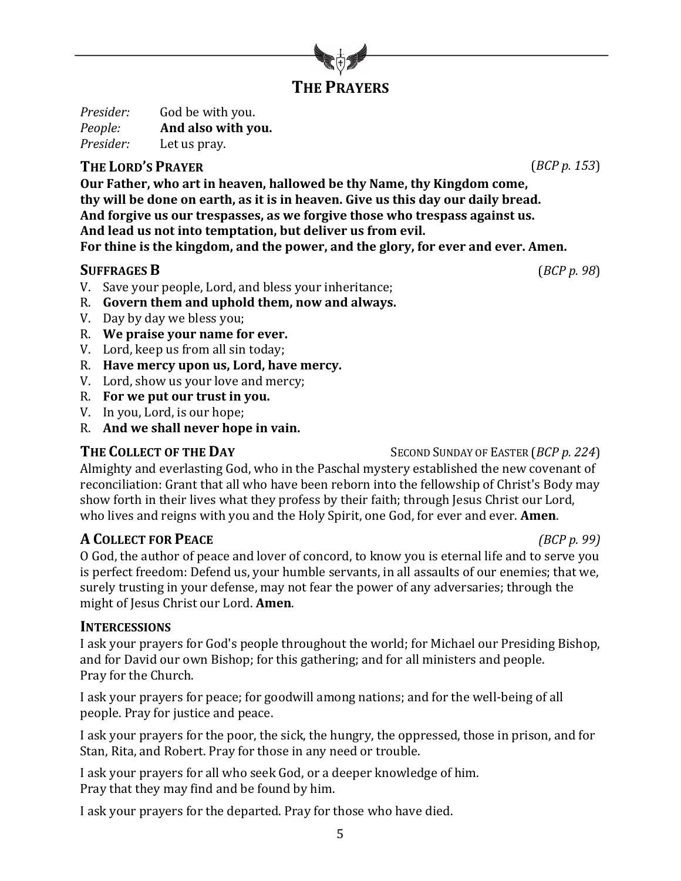

**THE PRAYERS**

*Presider:* God be with you. *People:* **And also with you.** *Presider:* Let us pray.

# **THE LORD'S PRAYER** (*BCP p.* 153)

Our Father, who art in heaven, hallowed be thy Name, thy Kingdom come, thy will be done on earth, as it is in heaven. Give us this day our daily bread. And forgive us our trespasses, as we forgive those who trespass against us. And lead us not into temptation, but deliver us from evil. For thine is the kingdom, and the power, and the glory, for ever and ever. Amen.

### **SUFFRAGES B** (*BCP p. 98*)

- V. Save your people, Lord, and bless your inheritance;
- R. Govern them and uphold them, now and always.
- V. Day by day we bless you;
- R. We praise your name for ever.
- V. Lord, keep us from all sin today;
- R. Have mercy upon us, Lord, have mercy.
- V. Lord, show us your love and mercy;
- R. For we put our trust in you.
- V. In you, Lord, is our hope;
- R. And we shall never hope in vain.

**THE COLLECT OF THE DAY** SECOND SUNDAY OF EASTER (*BCP p.* 224) Almighty and everlasting God, who in the Paschal mystery established the new covenant of reconciliation: Grant that all who have been reborn into the fellowship of Christ's Body may show forth in their lives what they profess by their faith; through Jesus Christ our Lord, who lives and reigns with you and the Holy Spirit, one God, for ever and ever. **Amen**.

### **A COLLECT** FOR PEACE *(BCP p. 99)*

O God, the author of peace and lover of concord, to know you is eternal life and to serve you is perfect freedom: Defend us, your humble servants, in all assaults of our enemies; that we, surely trusting in your defense, may not fear the power of any adversaries; through the might of Jesus Christ our Lord. Amen.

#### **INTERCESSIONS**

I ask your prayers for God's people throughout the world; for Michael our Presiding Bishop, and for David our own Bishop; for this gathering; and for all ministers and people. Pray for the Church.

I ask your prayers for peace; for goodwill among nations; and for the well-being of all people. Pray for justice and peace.

I ask your prayers for the poor, the sick, the hungry, the oppressed, those in prison, and for Stan, Rita, and Robert. Pray for those in any need or trouble.

I ask your prayers for all who seek God, or a deeper knowledge of him. Pray that they may find and be found by him.

I ask your prayers for the departed. Pray for those who have died.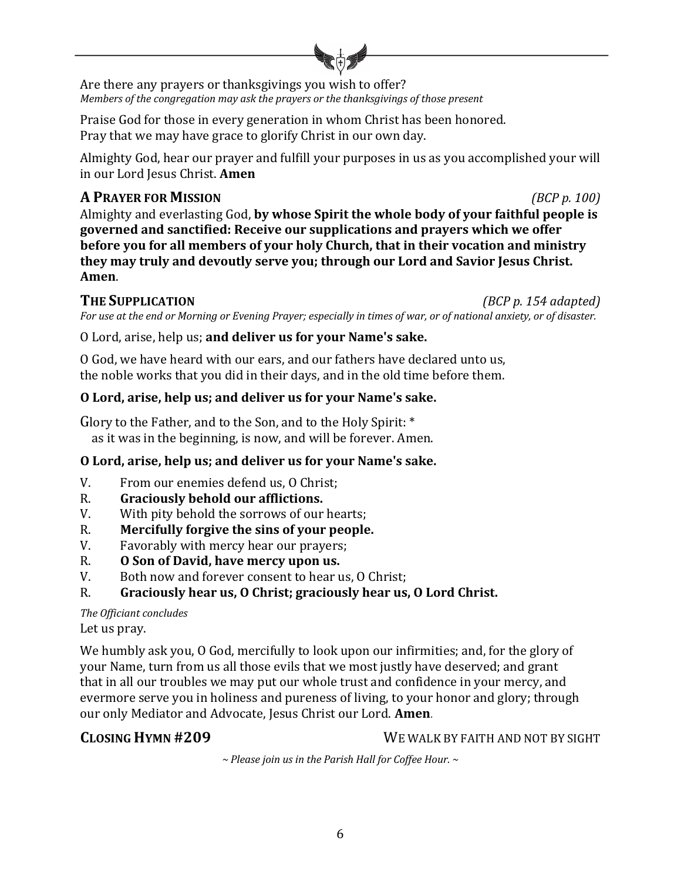

Are there any prayers or thanksgivings you wish to offer? *Members of the congregation may ask the prayers or the thanksgivings of those present* 

Praise God for those in every generation in whom Christ has been honored. Pray that we may have grace to glorify Christ in our own day.

Almighty God, hear our prayer and fulfill your purposes in us as you accomplished your will in our Lord Jesus Christ. Amen

# **A PRAYER FOR MISSION** *(BCP p.* 100)

Almighty and everlasting God, by whose Spirit the whole body of your faithful people is governed and sanctified: Receive our supplications and prayers which we offer **before you for all members of your holy Church, that in their vocation and ministry** they may truly and devoutly serve you; through our Lord and Savior Jesus Christ. **Amen**.

**THE SUPPLICATION** *(BCP p. 154 adapted)* For use at the end or Morning or Evening Prayer; especially in times of war, or of national anxiety, or of disaster.

O Lord, arise, help us; **and deliver us for your Name's sake.**

O God, we have heard with our ears, and our fathers have declared unto us, the noble works that you did in their days, and in the old time before them.

# **O Lord, arise, help us; and deliver us for your Name's sake.**

Glory to the Father, and to the Son, and to the Holy Spirit: \* as it was in the beginning, is now, and will be forever. Amen.

# **O Lord, arise, help us; and deliver us for your Name's sake.**

- V. From our enemies defend us, O Christ;
- R. Graciously behold our afflictions.
- V. With pity behold the sorrows of our hearts;
- R. Mercifully forgive the sins of your people.
- V. Favorably with mercy hear our prayers;
- R. **O** Son of David, have mercy upon us.
- V. Both now and forever consent to hear us, O Christ;

### R. Graciously hear us, O Christ; graciously hear us, O Lord Christ.

#### *The Officiant concludes* Let us pray.

We humbly ask you, O God, mercifully to look upon our infirmities; and, for the glory of your Name, turn from us all those evils that we most justly have deserved; and grant that in all our troubles we may put our whole trust and confidence in your mercy, and evermore serve you in holiness and pureness of living, to your honor and glory; through our only Mediator and Advocate, Jesus Christ our Lord. Amen.

**CLOSING HYMN #209** WE WALK BY FAITH AND NOT BY SIGHT

*~ Please join us in the Parish Hall for Coffee Hour. ~*